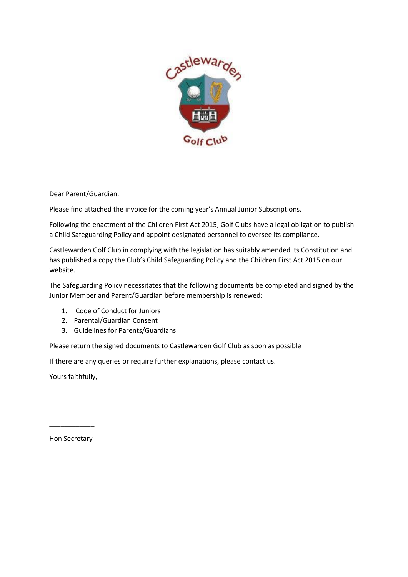

Dear Parent/Guardian,

Please find attached the invoice for the coming year's Annual Junior Subscriptions.

Following the enactment of the Children First Act 2015, Golf Clubs have a legal obligation to publish a Child Safeguarding Policy and appoint designated personnel to oversee its compliance.

Castlewarden Golf Club in complying with the legislation has suitably amended its Constitution and has published a copy the Club's Child Safeguarding Policy and the Children First Act 2015 on our website.

The Safeguarding Policy necessitates that the following documents be completed and signed by the Junior Member and Parent/Guardian before membership is renewed:

- 1. Code of Conduct for Juniors
- 2. Parental/Guardian Consent
- 3. Guidelines for Parents/Guardians

Please return the signed documents to Castlewarden Golf Club as soon as possible

If there are any queries or require further explanations, please contact us.

Yours faithfully,

Hon Secretary

\_\_\_\_\_\_\_\_\_\_\_\_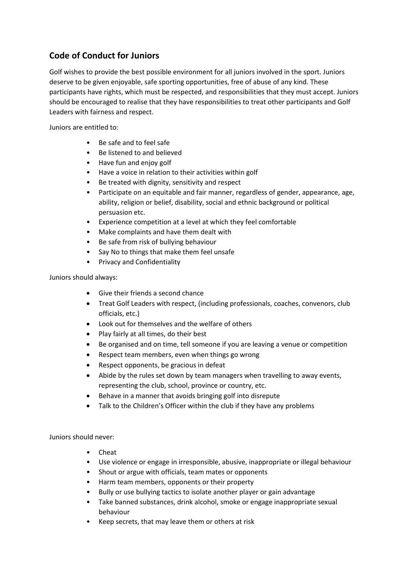## **Code of Conduct for Juniors**

Golf wishes to provide the best possible environment for all juniors involved in the sport. Juniors deserve to be given enjoyable, safe sporting opportunities, free of abuse of any kind. These participants have rights, which must be respected, and responsibilities that they must accept. Juniors should be encouraged to realise that they have responsibilities to treat other participants and Golf Leaders with fairness and respect.

Juniors are entitled to:

- Be safe and to feel safe
- Be listened to and believed
- Have fun and enjoy golf
- Have a voice in relation to their activities within golf
- Be treated with dignity, sensitivity and respect
- Participate on an equitable and fair manner, regardless of gender, appearance, age, ability, religion or belief, disability, social and ethnic background or political persuasion etc.
- Experience competition at a level at which they feel comfortable
- Make complaints and have them dealt with
- Be safe from risk of bullying behaviour
- Say No to things that make them feel unsafe
- Privacy and Confidentiality

Juniors should always:

- Give their friends a second chance
- Treat Golf Leaders with respect, (including professionals, coaches, convenors, club officials, etc.)
- Look out for themselves and the welfare of others
- Play fairly at all times, do their best
- Be organised and on time, tell someone if you are leaving a venue or competition
- Respect team members, even when things go wrong
- Respect opponents, be gracious in defeat
- Abide by the rules set down by team managers when travelling to away events, representing the club, school, province or country, etc.
- Behave in a manner that avoids bringing golf into disrepute
- Talk to the Children's Officer within the club if they have any problems

Juniors should never:

- Cheat
- Use violence or engage in irresponsible, abusive, inappropriate or illegal behaviour
- Shout or argue with officials, team mates or opponents
- Harm team members, opponents or their property
- Bully or use bullying tactics to isolate another player or gain advantage
- Take banned substances, drink alcohol, smoke or engage inappropriate sexual behaviour
- Keep secrets, that may leave them or others at risk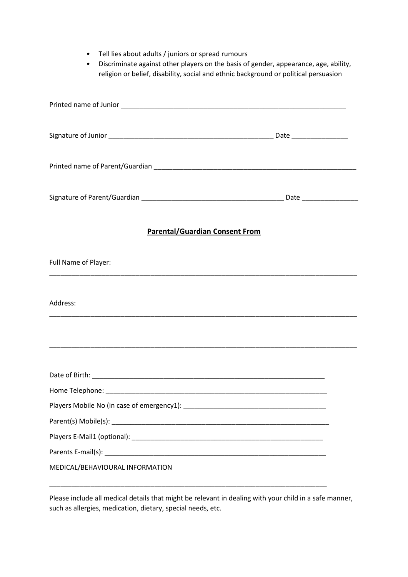- Tell lies about adults / juniors or spread rumours
- Discriminate against other players on the basis of gender, appearance, age, ability, religion or belief, disability, social and ethnic background or political persuasion

| <b>Parental/Guardian Consent From</b>                                                                                |  |
|----------------------------------------------------------------------------------------------------------------------|--|
| Full Name of Player:                                                                                                 |  |
| Address:                                                                                                             |  |
| <u> 1989 - Jan James James James James James James James James James James James James James James James James J</u> |  |
|                                                                                                                      |  |
|                                                                                                                      |  |
|                                                                                                                      |  |
|                                                                                                                      |  |
|                                                                                                                      |  |
|                                                                                                                      |  |
| MEDICAL/BEHAVIOURAL INFORMATION                                                                                      |  |

Please include all medical details that might be relevant in dealing with your child in a safe manner, such as allergies, medication, dietary, special needs, etc.

\_\_\_\_\_\_\_\_\_\_\_\_\_\_\_\_\_\_\_\_\_\_\_\_\_\_\_\_\_\_\_\_\_\_\_\_\_\_\_\_\_\_\_\_\_\_\_\_\_\_\_\_\_\_\_\_\_\_\_\_\_\_\_\_\_\_\_\_\_\_\_\_\_\_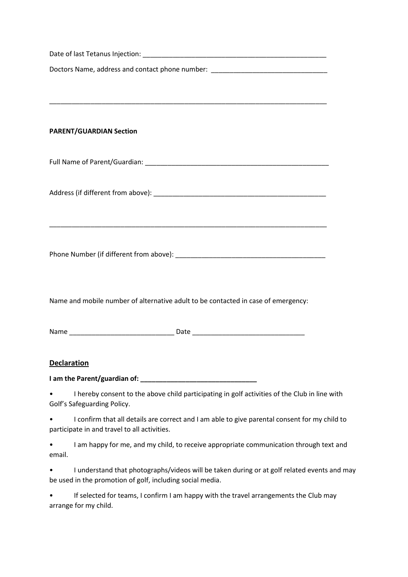| Doctors Name, address and contact phone number: ________________________________                                                              |  |
|-----------------------------------------------------------------------------------------------------------------------------------------------|--|
|                                                                                                                                               |  |
|                                                                                                                                               |  |
|                                                                                                                                               |  |
| <b>PARENT/GUARDIAN Section</b>                                                                                                                |  |
|                                                                                                                                               |  |
|                                                                                                                                               |  |
|                                                                                                                                               |  |
|                                                                                                                                               |  |
| Name and mobile number of alternative adult to be contacted in case of emergency:                                                             |  |
|                                                                                                                                               |  |
| <b>Declaration</b>                                                                                                                            |  |
|                                                                                                                                               |  |
| I hereby consent to the above child participating in golf activities of the Club in line with<br>Golf's Safeguarding Policy.                  |  |
| I confirm that all details are correct and I am able to give parental consent for my child to<br>participate in and travel to all activities. |  |
| I am happy for me, and my child, to receive appropriate communication through text and<br>email.                                              |  |

• I understand that photographs/videos will be taken during or at golf related events and may be used in the promotion of golf, including social media.

• If selected for teams, I confirm I am happy with the travel arrangements the Club may arrange for my child.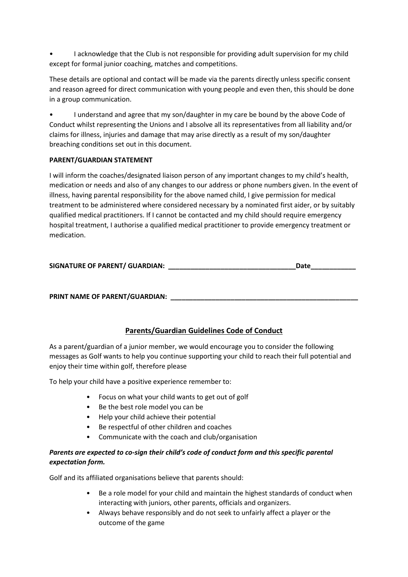• I acknowledge that the Club is not responsible for providing adult supervision for my child except for formal junior coaching, matches and competitions.

These details are optional and contact will be made via the parents directly unless specific consent and reason agreed for direct communication with young people and even then, this should be done in a group communication.

• I understand and agree that my son/daughter in my care be bound by the above Code of Conduct whilst representing the Unions and I absolve all its representatives from all liability and/or claims for illness, injuries and damage that may arise directly as a result of my son/daughter breaching conditions set out in this document.

## **PARENT/GUARDIAN STATEMENT**

I will inform the coaches/designated liaison person of any important changes to my child's health, medication or needs and also of any changes to our address or phone numbers given. In the event of illness, having parental responsibility for the above named child, I give permission for medical treatment to be administered where considered necessary by a nominated first aider, or by suitably qualified medical practitioners. If I cannot be contacted and my child should require emergency hospital treatment, I authorise a qualified medical practitioner to provide emergency treatment or medication.

| <b>SIGNATURE OF PARENT/ GUARDIAN:</b> | Date |
|---------------------------------------|------|
|---------------------------------------|------|

PRINT NAME OF PARENT/GUARDIAN:

## **Parents/Guardian Guidelines Code of Conduct**

As a parent/guardian of a junior member, we would encourage you to consider the following messages as Golf wants to help you continue supporting your child to reach their full potential and enjoy their time within golf, therefore please

To help your child have a positive experience remember to:

- Focus on what your child wants to get out of golf
- Be the best role model you can be
- Help your child achieve their potential
- Be respectful of other children and coaches
- Communicate with the coach and club/organisation

## *Parents are expected to co-sign their child's code of conduct form and this specific parental expectation form.*

Golf and its affiliated organisations believe that parents should:

- Be a role model for your child and maintain the highest standards of conduct when interacting with juniors, other parents, officials and organizers.
- Always behave responsibly and do not seek to unfairly affect a player or the outcome of the game